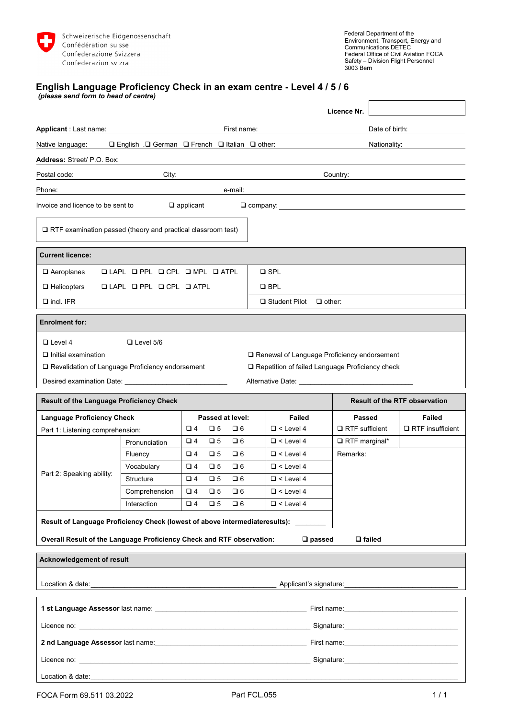

٦

 $\mathsf{r}$ 

## **English Language Proficiency Check in an exam centre - Level 4 / 5 / 6**

*(please send form to head of centre)*

|                                                                                                                                                                                                                                |                  |                  |             |                  |            |                  | Licence Nr.                                                                                        |                |                                      |  |  |
|--------------------------------------------------------------------------------------------------------------------------------------------------------------------------------------------------------------------------------|------------------|------------------|-------------|------------------|------------|------------------|----------------------------------------------------------------------------------------------------|----------------|--------------------------------------|--|--|
| Applicant : Last name:<br>First name:                                                                                                                                                                                          |                  |                  |             |                  |            |                  |                                                                                                    | Date of birth: |                                      |  |  |
| $\Box$ English . $\Box$ German $\Box$ French $\Box$ Italian $\Box$ other:<br>Native language:                                                                                                                                  |                  |                  |             |                  |            |                  |                                                                                                    | Nationality:   |                                      |  |  |
| Address: Street/ P.O. Box:                                                                                                                                                                                                     |                  |                  |             |                  |            |                  |                                                                                                    |                |                                      |  |  |
| Postal code:<br>City:                                                                                                                                                                                                          |                  |                  |             |                  |            |                  | Country:                                                                                           |                |                                      |  |  |
| Phone:                                                                                                                                                                                                                         |                  |                  |             | e-mail:          |            |                  |                                                                                                    |                |                                      |  |  |
| Invoice and licence to be sent to                                                                                                                                                                                              |                  | $\Box$ applicant |             |                  |            |                  |                                                                                                    |                |                                      |  |  |
| $\Box$ RTF examination passed (theory and practical classroom test)                                                                                                                                                            |                  |                  |             |                  |            |                  |                                                                                                    |                |                                      |  |  |
| <b>Current licence:</b>                                                                                                                                                                                                        |                  |                  |             |                  |            |                  |                                                                                                    |                |                                      |  |  |
| $\square$ SPL<br>$\Box$ Aeroplanes<br>$\Box$ LAPL $\Box$ PPL $\Box$ CPL $\Box$ MPL $\Box$ ATPL                                                                                                                                 |                  |                  |             |                  |            |                  |                                                                                                    |                |                                      |  |  |
| $\Box$ Helicopters<br>$LAPL$ $L$ $PPL$ $L$ $CPL$ $L$ $ATPL$                                                                                                                                                                    |                  |                  |             |                  | $\Box$ BPL |                  |                                                                                                    |                |                                      |  |  |
| $\Box$ incl. IFR<br>$\Box$ Student Pilot $\Box$ other:                                                                                                                                                                         |                  |                  |             |                  |            |                  |                                                                                                    |                |                                      |  |  |
| <b>Enrolment for:</b>                                                                                                                                                                                                          |                  |                  |             |                  |            |                  |                                                                                                    |                |                                      |  |  |
| $\Box$ Level 4<br>$\Box$ Initial examination<br>□ Revalidation of Language Proficiency endorsement                                                                                                                             | $\Box$ Level 5/6 |                  |             |                  |            |                  | □ Renewal of Language Proficiency endorsement<br>□ Repetition of failed Language Proficiency check |                |                                      |  |  |
| <b>Result of the Language Proficiency Check</b>                                                                                                                                                                                |                  |                  |             |                  |            |                  |                                                                                                    |                | <b>Result of the RTF observation</b> |  |  |
| <b>Language Proficiency Check</b>                                                                                                                                                                                              |                  |                  |             | Passed at level: |            | <b>Failed</b>    | <b>Passed</b>                                                                                      |                | <b>Failed</b>                        |  |  |
| Part 1: Listening comprehension:                                                                                                                                                                                               |                  | $\Box$ 4         | $\Box$ 5    | $\Box$ 6         |            | $\Box$ < Level 4 | $\Box$ RTF sufficient                                                                              |                | $\Box$ RTF insufficient              |  |  |
| Part 2: Speaking ability:                                                                                                                                                                                                      | Pronunciation    | $\Box$ 4         | $\Box$ 5    | $\Box$ 6         |            | $\Box$ < Level 4 | RTF marginal*                                                                                      |                |                                      |  |  |
|                                                                                                                                                                                                                                | Fluency          | $\Box$ 4         | $\Box$ 5    | $\square$ 6      |            | $\Box$ < Level 4 | Remarks:                                                                                           |                |                                      |  |  |
|                                                                                                                                                                                                                                | Vocabulary       | $\Box$ 4         | $\Box$ 5    | $\Box$ 6         |            | $\Box$ < Level 4 |                                                                                                    |                |                                      |  |  |
|                                                                                                                                                                                                                                | Structure        | $\Box$ 4         | $\Box$ 5    | $\square$ 6      |            | $\Box$ < Level 4 |                                                                                                    |                |                                      |  |  |
|                                                                                                                                                                                                                                | Comprehension    | $\square$ 4      | $\square$ 5 | $\square$ 6      |            | $\Box$ < Level 4 |                                                                                                    |                |                                      |  |  |
|                                                                                                                                                                                                                                | Interaction      | $\Box$ 4         | $\Box$ 5    | $\Box$ 6         |            | $\Box$ < Level 4 |                                                                                                    |                |                                      |  |  |
| Result of Language Proficiency Check (lowest of above intermediateresults):                                                                                                                                                    |                  |                  |             |                  |            |                  |                                                                                                    |                |                                      |  |  |
| Overall Result of the Language Proficiency Check and RTF observation:                                                                                                                                                          |                  |                  |             |                  |            |                  | $\square$ passed                                                                                   | $\Box$ failed  |                                      |  |  |
| Acknowledgement of result                                                                                                                                                                                                      |                  |                  |             |                  |            |                  |                                                                                                    |                |                                      |  |  |
|                                                                                                                                                                                                                                |                  |                  |             |                  |            |                  | Applicant's signature:<br><u> </u>                                                                 |                |                                      |  |  |
|                                                                                                                                                                                                                                |                  |                  |             |                  |            |                  |                                                                                                    |                |                                      |  |  |
|                                                                                                                                                                                                                                |                  |                  |             |                  |            |                  |                                                                                                    |                |                                      |  |  |
|                                                                                                                                                                                                                                |                  |                  |             |                  |            |                  |                                                                                                    |                |                                      |  |  |
|                                                                                                                                                                                                                                |                  |                  |             |                  |            |                  |                                                                                                    |                |                                      |  |  |
| Licence no: the contract of the contract of the contract of the contract of the contract of the contract of the contract of the contract of the contract of the contract of the contract of the contract of the contract of th |                  |                  |             |                  |            |                  |                                                                                                    |                |                                      |  |  |